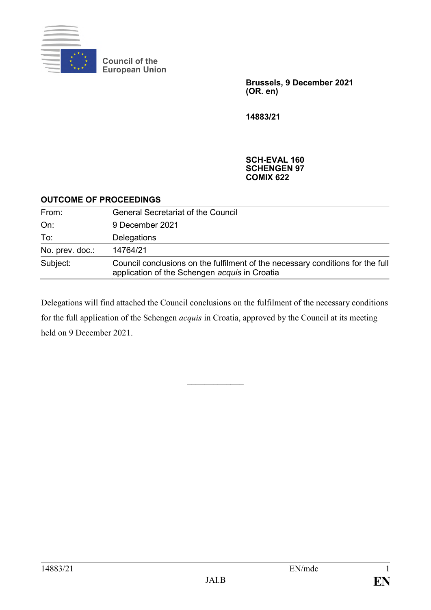

**Council of the European Union**

> **Brussels, 9 December 2021 (OR. en)**

**14883/21**

**SCH-EVAL 160 SCHENGEN 97 COMIX 622**

### **OUTCOME OF PROCEEDINGS**

| From:           | <b>General Secretariat of the Council</b>                                                                                       |
|-----------------|---------------------------------------------------------------------------------------------------------------------------------|
| On:             | 9 December 2021                                                                                                                 |
| To:             | Delegations                                                                                                                     |
| No. prev. doc.: | 14764/21                                                                                                                        |
| Subject:        | Council conclusions on the fulfilment of the necessary conditions for the full<br>application of the Schengen acquis in Croatia |

Delegations will find attached the Council conclusions on the fulfilment of the necessary conditions for the full application of the Schengen *acquis* in Croatia, approved by the Council at its meeting held on 9 December 2021.

 $\mathcal{L}_\text{max}$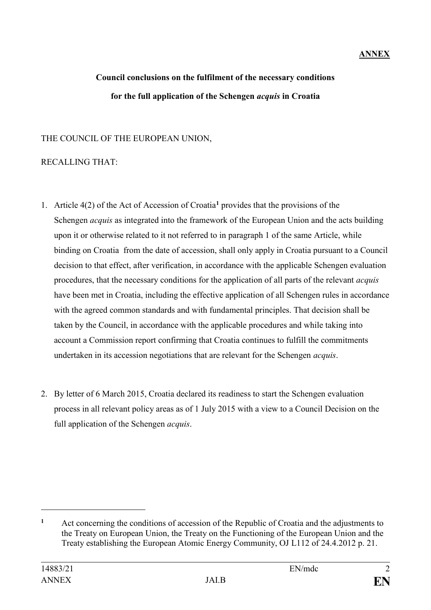# **ANNEX**

# **Council conclusions on the fulfilment of the necessary conditions for the full application of the Schengen** *acquis* **in Croatia**

### THE COUNCIL OF THE EUROPEAN UNION,

# RECALLING THAT:

- 1. Article 4(2) of the Act of Accession of Croatia**<sup>1</sup>** provides that the provisions of the Schengen *acquis* as integrated into the framework of the European Union and the acts building upon it or otherwise related to it not referred to in paragraph 1 of the same Article, while binding on Croatia from the date of accession, shall only apply in Croatia pursuant to a Council decision to that effect, after verification, in accordance with the applicable Schengen evaluation procedures, that the necessary conditions for the application of all parts of the relevant *acquis* have been met in Croatia, including the effective application of all Schengen rules in accordance with the agreed common standards and with fundamental principles. That decision shall be taken by the Council, in accordance with the applicable procedures and while taking into account a Commission report confirming that Croatia continues to fulfill the commitments undertaken in its accession negotiations that are relevant for the Schengen *acquis*.
- 2. By letter of 6 March 2015, Croatia declared its readiness to start the Schengen evaluation process in all relevant policy areas as of 1 July 2015 with a view to a Council Decision on the full application of the Schengen *acquis*.

1

**<sup>1</sup>** Act concerning the conditions of accession of the Republic of Croatia and the adjustments to the Treaty on European Union, the Treaty on the Functioning of the European Union and the Treaty establishing the European Atomic Energy Community, OJ L112 of 24.4.2012 p. 21.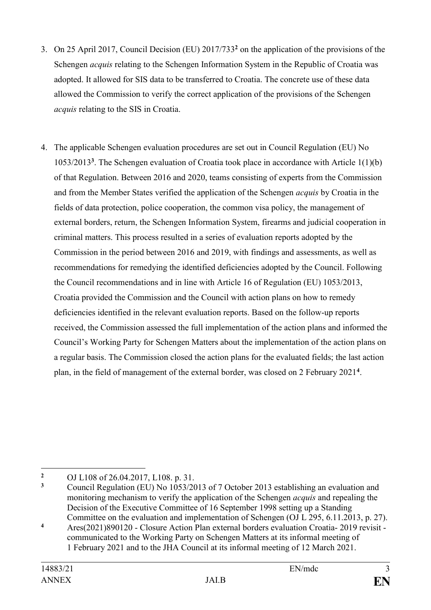- 3. On 25 April 2017, Council Decision (EU) 2017/733**<sup>2</sup>** on the application of the provisions of the Schengen *acquis* relating to the Schengen Information System in the Republic of Croatia was adopted. It allowed for SIS data to be transferred to Croatia. The concrete use of these data allowed the Commission to verify the correct application of the provisions of the Schengen *acquis* relating to the SIS in Croatia.
- 4. The applicable Schengen evaluation procedures are set out in Council Regulation (EU) No 1053/2013**<sup>3</sup>** . The Schengen evaluation of Croatia took place in accordance with Article 1(1)(b) of that Regulation. Between 2016 and 2020, teams consisting of experts from the Commission and from the Member States verified the application of the Schengen *acquis* by Croatia in the fields of data protection, police cooperation, the common visa policy, the management of external borders, return, the Schengen Information System, firearms and judicial cooperation in criminal matters. This process resulted in a series of evaluation reports adopted by the Commission in the period between 2016 and 2019, with findings and assessments, as well as recommendations for remedying the identified deficiencies adopted by the Council. Following the Council recommendations and in line with Article 16 of Regulation (EU) 1053/2013, Croatia provided the Commission and the Council with action plans on how to remedy deficiencies identified in the relevant evaluation reports. Based on the follow-up reports received, the Commission assessed the full implementation of the action plans and informed the Council's Working Party for Schengen Matters about the implementation of the action plans on a regular basis. The Commission closed the action plans for the evaluated fields; the last action plan, in the field of management of the external border, was closed on 2 February 2021**<sup>4</sup>** .

<sup>1</sup> **<sup>2</sup>** OJ L108 of 26.04.2017, L108. p. 31.

**<sup>3</sup>** Council Regulation (EU) No 1053/2013 of 7 October 2013 establishing an evaluation and monitoring mechanism to verify the application of the Schengen *acquis* and repealing the Decision of the Executive Committee of 16 September 1998 setting up a Standing Committee on the evaluation and implementation of Schengen (OJ L 295, 6.11.2013, p. 27).

**<sup>4</sup>** Ares(2021)890120 - Closure Action Plan external borders evaluation Croatia- 2019 revisit communicated to the Working Party on Schengen Matters at its informal meeting of 1 February 2021 and to the JHA Council at its informal meeting of 12 March 2021.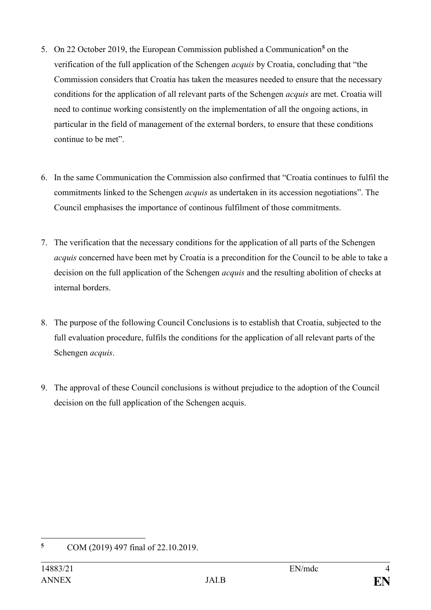- 5. On 22 October 2019, the European Commission published a Communication**<sup>5</sup>** on the verification of the full application of the Schengen *acquis* by Croatia, concluding that "the Commission considers that Croatia has taken the measures needed to ensure that the necessary conditions for the application of all relevant parts of the Schengen *acquis* are met. Croatia will need to continue working consistently on the implementation of all the ongoing actions, in particular in the field of management of the external borders, to ensure that these conditions continue to be met".
- 6. In the same Communication the Commission also confirmed that "Croatia continues to fulfil the commitments linked to the Schengen *acquis* as undertaken in its accession negotiations". The Council emphasises the importance of continous fulfilment of those commitments.
- 7. The verification that the necessary conditions for the application of all parts of the Schengen *acquis* concerned have been met by Croatia is a precondition for the Council to be able to take a decision on the full application of the Schengen *acquis* and the resulting abolition of checks at internal borders.
- 8. The purpose of the following Council Conclusions is to establish that Croatia, subjected to the full evaluation procedure, fulfils the conditions for the application of all relevant parts of the Schengen *acquis*.
- 9. The approval of these Council conclusions is without prejudice to the adoption of the Council decision on the full application of the Schengen acquis.

 $\overline{5}$ **<sup>5</sup>** COM (2019) 497 final of 22.10.2019.